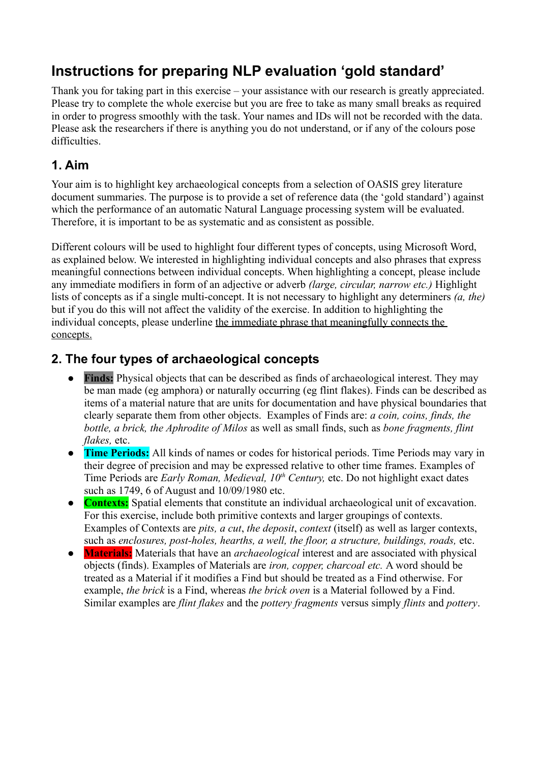# **Instructions for preparing NLP evaluation 'gold standard'**

Thank you for taking part in this exercise – your assistance with our research is greatly appreciated. Please try to complete the whole exercise but you are free to take as many small breaks as required in order to progress smoothly with the task. Your names and IDs will not be recorded with the data. Please ask the researchers if there is anything you do not understand, or if any of the colours pose difficulties.

## **1. Aim**

Your aim is to highlight key archaeological concepts from a selection of OASIS grey literature document summaries. The purpose is to provide a set of reference data (the 'gold standard') against which the performance of an automatic Natural Language processing system will be evaluated. Therefore, it is important to be as systematic and as consistent as possible.

Different colours will be used to highlight four different types of concepts, using Microsoft Word, as explained below. We interested in highlighting individual concepts and also phrases that express meaningful connections between individual concepts. When highlighting a concept, please include any immediate modifiers in form of an adjective or adverb *(large, circular, narrow etc.)* Highlight lists of concepts as if a single multi-concept. It is not necessary to highlight any determiners *(a, the)* but if you do this will not affect the validity of the exercise. In addition to highlighting the individual concepts, please underline the immediate phrase that meaningfully connects the concepts.

## **2. The four types of archaeological concepts**

- **Finds:** Physical objects that can be described as finds of archaeological interest. They may be man made (eg amphora) or naturally occurring (eg flint flakes). Finds can be described as items of a material nature that are units for documentation and have physical boundaries that clearly separate them from other objects. Examples of Finds are: *a coin, coins, finds, the bottle, a brick, the Aphrodite of Milos* as well as small finds, such as *bone fragments, flint flakes,* etc.
- **Time Periods:** All kinds of names or codes for historical periods. Time Periods may vary in their degree of precision and may be expressed relative to other time frames. Examples of Time Periods are *Early Roman, Medieval, 10th Century,* etc. Do not highlight exact dates such as 1749, 6 of August and 10/09/1980 etc.
- **Contexts:** Spatial elements that constitute an individual archaeological unit of excavation. For this exercise, include both primitive contexts and larger groupings of contexts. Examples of Contexts are *pits, a cut*, *the deposit*, *context* (itself) as well as larger contexts, such as *enclosures, post-holes, hearths, a well, the floor, a structure, buildings, roads,* etc.
- **Materials:** Materials that have an *archaeological* interest and are associated with physical objects (finds). Examples of Materials are *iron, copper, charcoal etc.* A word should be treated as a Material if it modifies a Find but should be treated as a Find otherwise. For example, *the brick* is a Find, whereas *the brick oven* is a Material followed by a Find. Similar examples are *flint flakes* and the *pottery fragments* versus simply *flints* and *pottery*.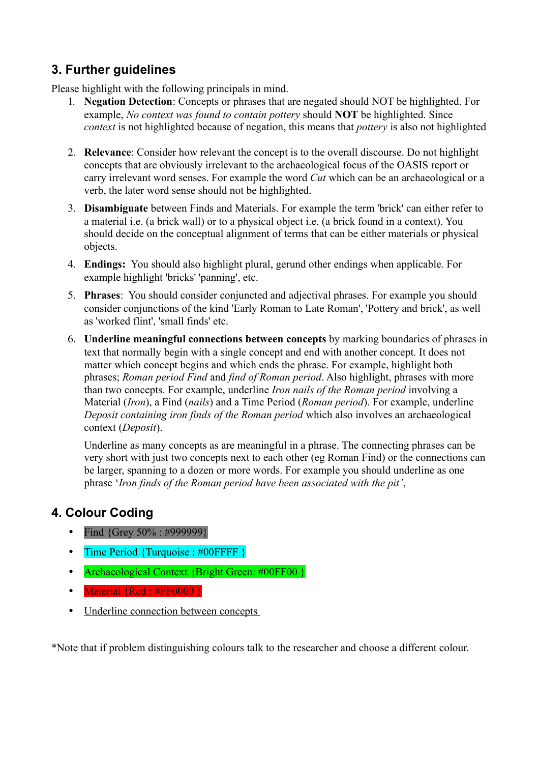# **3. Further guidelines**

Please highlight with the following principals in mind.

- 1. **Negation Detection**: Concepts or phrases that are negated should NOT be highlighted. For example, *No context was found to contain pottery* should **NOT** be highlighted. Since *context* is not highlighted because of negation, this means that *pottery* is also not highlighted
- 2. **Relevance**: Consider how relevant the concept is to the overall discourse. Do not highlight concepts that are obviously irrelevant to the archaeological focus of the OASIS report or carry irrelevant word senses. For example the word *Cut* which can be an archaeological or a verb, the later word sense should not be highlighted.
- 3. **Disambiguate** between Finds and Materials. For example the term 'brick' can either refer to a material i.e. (a brick wall) or to a physical object i.e. (a brick found in a context). You should decide on the conceptual alignment of terms that can be either materials or physical objects.
- 4. **Endings:** You should also highlight plural, gerund other endings when applicable. For example highlight 'bricks' 'panning', etc.
- 5. **Phrases**: You should consider conjuncted and adjectival phrases. For example you should consider conjunctions of the kind 'Early Roman to Late Roman', 'Pottery and brick', as well as 'worked flint', 'small finds' etc.
- 6. **Underline meaningful connections between concepts** by marking boundaries of phrases in text that normally begin with a single concept and end with another concept. It does not matter which concept begins and which ends the phrase. For example, highlight both phrases; *Roman period Find* and *find of Roman period*. Also highlight, phrases with more than two concepts. For example, underline *Iron nails of the Roman period* involving a Material (*Iron*), a Find (*nails*) and a Time Period (*Roman period*). For example, underline *Deposit containing iron finds of the Roman period* which also involves an archaeological context (*Deposit*).

Underline as many concepts as are meaningful in a phrase. The connecting phrases can be very short with just two concepts next to each other (eg Roman Find) or the connections can be larger, spanning to a dozen or more words. For example you should underline as one phrase '*Iron finds of the Roman period have been associated with the pit'*,

# **4. Colour Coding**

- Find  ${Grev\,50\% : #999999}$
- Time Period {Turquoise : #00FFFF }
- Archaeological Context {Bright Green: #00FF00 }
- Material {Red : #FF0000 }
- Underline connection between concepts

\*Note that if problem distinguishing colours talk to the researcher and choose a different colour.